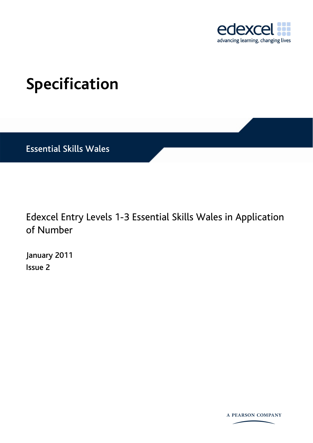

# <span id="page-0-0"></span>**Specification**

Essential Skills Wales

Edexcel Entry Levels 1-3 Essential Skills Wales in Application of Number

[January 2011](#page-0-0) Issue 2

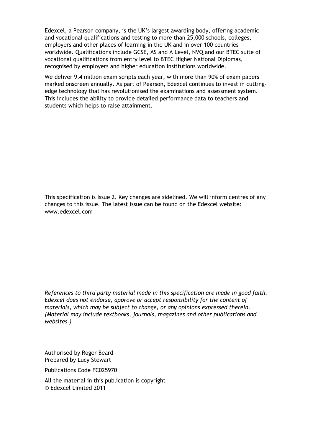Edexcel, a Pearson company, is the UK's largest awarding body, offering academic and vocational qualifications and testing to more than 25,000 schools, colleges, employers and other places of learning in the UK and in over 100 countries worldwide. Qualifications include GCSE, AS and A Level, NVQ and our BTEC suite of vocational qualifications from entry level to BTEC Higher National Diplomas, recognised by employers and higher education institutions worldwide.

We deliver 9.4 million exam scripts each year, with more than 90% of exam papers marked onscreen annually. As part of Pearson, Edexcel continues to invest in cuttingedge technology that has revolutionised the examinations and assessment system. This includes the ability to provide detailed performance data to teachers and students which helps to raise attainment.

This specification is Issue 2. Key changes are sidelined. We will inform centres of any changes to this issue. The latest issue can be found on the Edexcel website: www.edexcel.com

*References to third party material made in this specification are made in good faith. Edexcel does not endorse, approve or accept responsibility for the content of materials, which may be subject to change, or any opinions expressed therein. (Material may include textbooks, journals, magazines and other publications and websites.)*

Authorised by Roger Beard Prepared by Lucy Stewart

Publications Code FC025970

All the material in this publication is copyright © Edexcel Limited 2011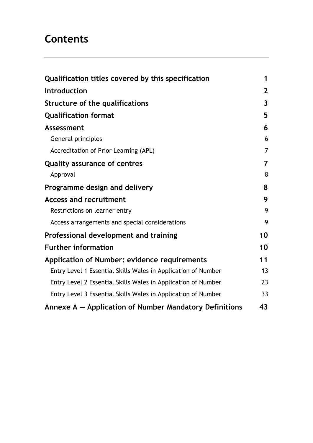# **Contents**

| Qualification titles covered by this specification            | 1              |
|---------------------------------------------------------------|----------------|
| Introduction                                                  | 2 <sup>2</sup> |
| Structure of the qualifications                               | $\overline{3}$ |
| <b>Qualification format</b>                                   | 5              |
| <b>Assessment</b>                                             | 6              |
| General principles                                            | 6              |
| Accreditation of Prior Learning (APL)                         | $\overline{7}$ |
| <b>Quality assurance of centres</b>                           | $\overline{7}$ |
| Approval                                                      | 8              |
| Programme design and delivery                                 | 8              |
| <b>Access and recruitment</b>                                 | 9              |
| Restrictions on learner entry                                 | 9              |
| Access arrangements and special considerations                | 9              |
| Professional development and training                         | 10             |
| <b>Further information</b>                                    | 10             |
| Application of Number: evidence requirements                  | 11             |
| Entry Level 1 Essential Skills Wales in Application of Number | 13             |
| Entry Level 2 Essential Skills Wales in Application of Number | 23             |
| Entry Level 3 Essential Skills Wales in Application of Number | 33             |
| Annexe A – Application of Number Mandatory Definitions        | 43             |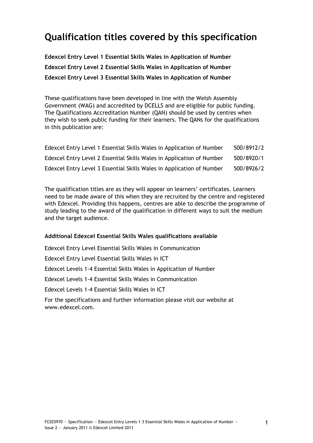# <span id="page-4-0"></span>**Qualification titles covered by this specification**

**Edexcel Entry Level 1 Essential Skills Wales in Application of Number Edexcel Entry Level 2 Essential Skills Wales in Application of Number Edexcel Entry Level 3 Essential Skills Wales in Application of Number** 

These qualifications have been developed in line with the Welsh Assembly Government (WAG) and accredited by DCELLS and are eligible for public funding. The Qualifications Accreditation Number (QAN) should be used by centres when they wish to seek public funding for their learners. The QANs for the qualifications in this publication are:

| Edexcel Entry Level 1 Essential Skills Wales in Application of Number | 500/8912/2 |
|-----------------------------------------------------------------------|------------|
| Edexcel Entry Level 2 Essential Skills Wales in Application of Number | 500/8920/1 |
| Edexcel Entry Level 3 Essential Skills Wales in Application of Number | 500/8926/2 |

The qualification titles are as they will appear on learners' certificates. Learners need to be made aware of this when they are recruited by the centre and registered with Edexcel. Providing this happens, centres are able to describe the programme of study leading to the award of the qualification in different ways to suit the medium and the target audience.

# **Additional Edexcel Essential Skills Wales qualifications available**

Edexcel Entry Level Essential Skills Wales in Communication Edexcel Entry Level Essential Skills Wales in ICT Edexcel Levels 1-4 Essential Skills Wales in Application of Number Edexcel Levels 1-4 Essential Skills Wales in Communication Edexcel Levels 1-4 Essential Skills Wales in ICT For the specifications and further information please visit our website at www.edexcel.com.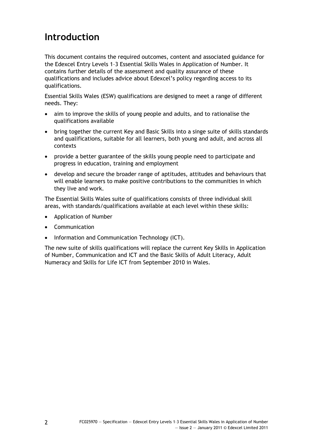# <span id="page-5-0"></span>**Introduction**

This document contains the required outcomes, content and associated guidance for the Edexcel Entry Levels 1–3 Essential Skills Wales in Application of Number. It contains further details of the assessment and quality assurance of these qualifications and includes advice about Edexcel's policy regarding access to its qualifications.

Essential Skills Wales (ESW) qualifications are designed to meet a range of different needs. They:

- aim to improve the skills of young people and adults, and to rationalise the qualifications available
- bring together the current Key and Basic Skills into a singe suite of skills standards and qualifications, suitable for all learners, both young and adult, and across all contexts
- provide a better guarantee of the skills young people need to participate and progress in education, training and employment
- develop and secure the broader range of aptitudes, attitudes and behaviours that will enable learners to make positive contributions to the communities in which they live and work.

The Essential Skills Wales suite of qualifications consists of three individual skill areas, with standards/qualifications available at each level within these skills:

- Application of Number
- Communication
- Information and Communication Technology (ICT).

The new suite of skills qualifications will replace the current Key Skills in Application of Number, Communication and ICT and the Basic Skills of Adult Literacy, Adult Numeracy and Skills for Life ICT from September 2010 in Wales.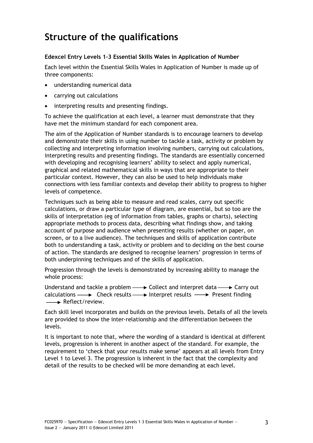# <span id="page-6-0"></span>**Structure of the qualifications**

# **Edexcel Entry Levels 1–3 Essential Skills Wales in Application of Number**

Each level within the Essential Skills Wales in Application of Number is made up of three components:

- understanding numerical data
- carrying out calculations
- interpreting results and presenting findings.

To achieve the qualification at each level, a learner must demonstrate that they have met the minimum standard for each component area.

The aim of the Application of Number standards is to encourage learners to develop and demonstrate their skills in using number to tackle a task, activity or problem by collecting and interpreting information involving numbers, carrying out calculations, interpreting results and presenting findings. The standards are essentially concerned with developing and recognising learners' ability to select and apply numerical, graphical and related mathematical skills in ways that are appropriate to their particular context. However, they can also be used to help individuals make connections with less familiar contexts and develop their ability to progress to higher levels of competence.

Techniques such as being able to measure and read scales, carry out specific calculations, or draw a particular type of diagram, are essential, but so too are the skills of interpretation (eg of information from tables, graphs or charts), selecting appropriate methods to process data, describing what findings show, and taking account of purpose and audience when presenting results (whether on paper, on screen, or to a live audience). The techniques and skills of application contribute both to understanding a task, activity or problem and to deciding on the best course of action. The standards are designed to recognise learners' progression in terms of both underpinning techniques and of the skills of application.

Progression through the levels is demonstrated by increasing ability to manage the whole process:

Understand and tackle a problem  $\longrightarrow$  Collect and interpret data  $\longrightarrow$  Carry out calculations  $\longrightarrow$  Check results  $\longrightarrow$  Interpret results  $\longrightarrow$  Present finding  $\rightarrow$  Reflect/review.

Each skill level incorporates and builds on the previous levels. Details of all the levels are provided to show the inter-relationship and the differentiation between the levels.

It is important to note that, where the wording of a standard is identical at different levels, progression is inherent in another aspect of the standard. For example, the requirement to 'check that your results make sense' appears at all levels from Entry Level 1 to Level 3. The progression is inherent in the fact that the complexity and detail of the results to be checked will be more demanding at each level.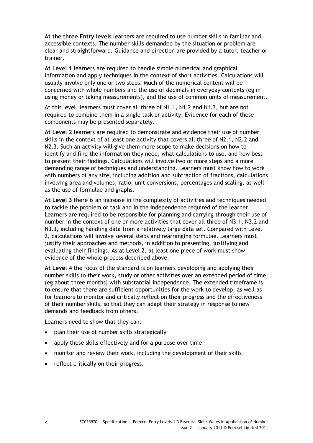**At the three Entry levels** learners are required to use number skills in familiar and accessible contexts. The number skills demanded by the situation or problem are clear and straightforward. Guidance and direction are provided by a tutor, teacher or trainer.

**At Level 1** learners are required to handle simple numerical and graphical information and apply techniques in the context of short activities. Calculations will usually involve only one or two steps. Much of the numerical content will be concerned with whole numbers and the use of decimals in everyday contexts (eg in using money or taking measurements), and the use of common units of measurement.

At this level, learners must cover all three of N1.1, N1.2 and N1.3, but are not required to combine them in a single task or activity. Evidence for each of these components may be presented separately.

**At Level 2** learners are required to demonstrate and evidence their use of number skills in the context of at least one activity that covers all three of N2.1, N2.2 and N2.3. Such an activity will give them more scope to make decisions on how to identify and find the information they need, what calculations to use, and how best to present their findings. Calculations will involve two or more steps and a more demanding range of techniques and understanding. Learners must know how to work with numbers of any size, including addition and subtraction of fractions, calculations involving area and volumes, ratio, unit conversions, percentages and scaling, as well as the use of formulae and graphs.

**At Level 3** there is an increase in the complexity of activities and techniques needed to tackle the problem or task and in the independence required of the learner. Learners are required to be responsible for planning and carrying through their use of number in the context of one or more activities that cover all three of N3.1, N3.2 and N3.3, including handling data from a relatively large data set. Compared with Level 2, calculations will involve several steps and rearranging formulae. Learners must justify their approaches and methods, in addition to presenting, justifying and evaluating their findings. As at Level 2, at least one piece of work must show evidence of the whole process described above.

**At Level 4** the focus of the standard is on learners developing and applying their number skills to their work, study or other activities over an extended period of time (eg about three months) with substantial independence. The extended timeframe is to ensure that there are sufficient opportunities for the work to develop, as well as for learners to monitor and critically reflect on their progress and the effectiveness of their number skills, so that they can adapt their strategy in response to new demands and feedback from others.

Learners need to show that they can:

- plan their use of number skills strategically
- apply these skills effectively and for a purpose over time
- monitor and review their work, including the development of their skills
- reflect critically on their progress.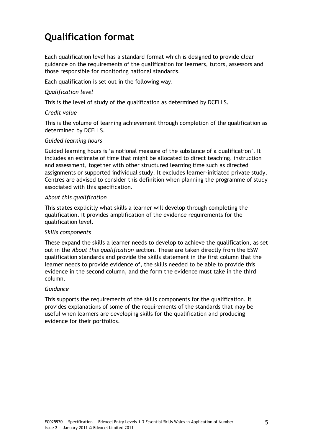# <span id="page-8-0"></span>**Qualification format**

Each qualification level has a standard format which is designed to provide clear guidance on the requirements of the qualification for learners, tutors, assessors and those responsible for monitoring national standards.

Each qualification is set out in the following way.

## *Qualification level*

This is the level of study of the qualification as determined by DCELLS.

### *Credit value*

This is the volume of learning achievement through completion of the qualification as determined by DCELLS.

### *Guided learning hours*

Guided learning hours is 'a notional measure of the substance of a qualification'. It includes an estimate of time that might be allocated to direct teaching, instruction and assessment, together with other structured learning time such as directed assignments or supported individual study. It excludes learner-initiated private study. Centres are advised to consider this definition when planning the programme of study associated with this specification.

### *About this qualification*

This states explicitly what skills a learner will develop through completing the qualification. It provides amplification of the evidence requirements for the qualification level.

#### *Skills components*

These expand the skills a learner needs to develop to achieve the qualification, as set out in the *About this qualification* section. These are taken directly from the ESW qualification standards and provide the skills statement in the first column that the learner needs to provide evidence of, the skills needed to be able to provide this evidence in the second column, and the form the evidence must take in the third column.

# *Guidance*

This supports the requirements of the skills components for the qualification. It provides explanations of some of the requirements of the standards that may be useful when learners are developing skills for the qualification and producing evidence for their portfolios.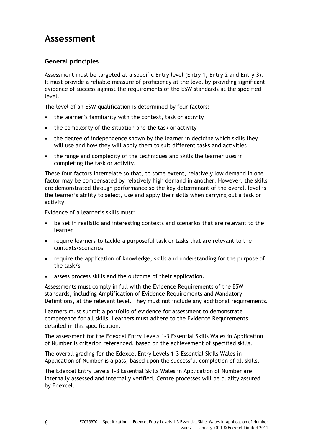# <span id="page-9-0"></span>**Assessment**

# **General principles**

Assessment must be targeted at a specific Entry level (Entry 1, Entry 2 and Entry 3). It must provide a reliable measure of proficiency at the level by providing significant evidence of success against the requirements of the ESW standards at the specified level.

The level of an ESW qualification is determined by four factors:

- the learner's familiarity with the context, task or activity
- the complexity of the situation and the task or activity
- the degree of independence shown by the learner in deciding which skills they will use and how they will apply them to suit different tasks and activities
- the range and complexity of the techniques and skills the learner uses in completing the task or activity.

These four factors interrelate so that, to some extent, relatively low demand in one factor may be compensated by relatively high demand in another. However, the skills are demonstrated through performance so the key determinant of the overall level is the learner's ability to select, use and apply their skills when carrying out a task or activity.

Evidence of a learner's skills must:

- be set in realistic and interesting contexts and scenarios that are relevant to the learner
- require learners to tackle a purposeful task or tasks that are relevant to the contexts/scenarios
- require the application of knowledge, skills and understanding for the purpose of the task/s
- assess process skills and the outcome of their application.

Assessments must comply in full with the Evidence Requirements of the ESW standards, including Amplification of Evidence Requirements and Mandatory Definitions, at the relevant level. They must not include any additional requirements.

Learners must submit a portfolio of evidence for assessment to demonstrate competence for all skills. Learners must adhere to the Evidence Requirements detailed in this specification.

The assessment for the Edexcel Entry Levels 1–3 Essential Skills Wales in Application of Number is criterion referenced, based on the achievement of specified skills.

The overall grading for the Edexcel Entry Levels 1–3 Essential Skills Wales in Application of Number is a pass, based upon the successful completion of all skills.

The Edexcel Entry Levels 1–3 Essential Skills Wales in Application of Number are internally assessed and internally verified. Centre processes will be quality assured by Edexcel.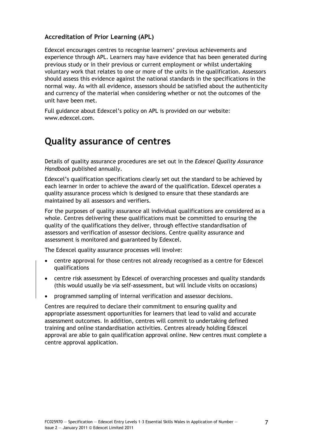# <span id="page-10-0"></span>**Accreditation of Prior Learning (APL)**

Edexcel encourages centres to recognise learners' previous achievements and experience through APL. Learners may have evidence that has been generated during previous study or in their previous or current employment or whilst undertaking voluntary work that relates to one or more of the units in the qualification. Assessors should assess this evidence against the national standards in the specifications in the normal way. As with all evidence, assessors should be satisfied about the authenticity and currency of the material when considering whether or not the outcomes of the unit have been met.

Full guidance about Edexcel's policy on APL is provided on our website: www.edexcel.com.

# **[Quality assu](http://www.edexcel.com/)rance of centres**

Details of quality assurance procedures are set out in the *Edexcel Quality Assurance Handbook* published annually.

Edexcel's qualification specifications clearly set out the standard to be achieved by each learner in order to achieve the award of the qualification. Edexcel operates a quality assurance process which is designed to ensure that these standards are maintained by all assessors and verifiers.

For the purposes of quality assurance all individual qualifications are considered as a whole. Centres delivering these qualifications must be committed to ensuring the quality of the qualifications they deliver, through effective standardisation of assessors and verification of assessor decisions. Centre quality assurance and assessment is monitored and guaranteed by Edexcel.

The Edexcel quality assurance processes will involve:

- centre approval for those centres not already recognised as a centre for Edexcel qualifications
- centre risk assessment by Edexcel of overarching processes and quality standards (this would usually be via self-assessment, but will include visits on occasions)
- programmed sampling of internal verification and assessor decisions.

Centres are required to declare their commitment to ensuring quality and appropriate assessment opportunities for learners that lead to valid and accurate assessment outcomes. In addition, centres will commit to undertaking defined training and online standardisation activities. Centres already holding Edexcel approval are able to gain qualification approval online. New centres must complete a centre approval application.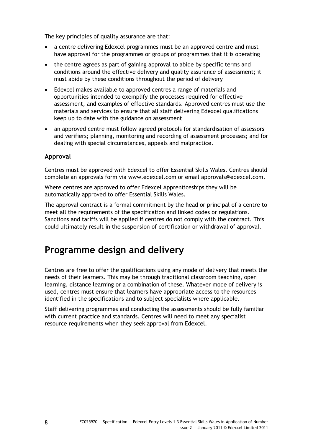<span id="page-11-0"></span>The key principles of quality assurance are that:

- a centre delivering Edexcel programmes must be an approved centre and must have approval for the programmes or groups of programmes that it is operating
- the centre agrees as part of gaining approval to abide by specific terms and conditions around the effective delivery and quality assurance of assessment; it must abide by these conditions throughout the period of delivery
- Edexcel makes available to approved centres a range of materials and opportunities intended to exemplify the processes required for effective assessment, and examples of effective standards. Approved centres must use the materials and services to ensure that all staff delivering Edexcel qualifications keep up to date with the guidance on assessment
- an approved centre must follow agreed protocols for standardisation of assessors and verifiers; planning, monitoring and recording of assessment processes; and for dealing with special circumstances, appeals and malpractice.

# **Approval**

Centres must be approved with Edexcel to offer Essential Skills Wales. Centres should complete an approvals form via www.edexcel.com or email approvals@edexcel.com.

Where centres are approved to offer Edexcel Apprenticeships they will be automatically approved to offer Essential Skills Wales.

The approval contract is a form[al commitment by t](http://www.edexcel.com/)he head [or principal of a centre t](mailto:approvals@edexcel.com)o meet all the requirements of the specification and linked codes or regulations. Sanctions and tariffs will be applied if centres do not comply with the contract. This could ultimately result in the suspension of certification or withdrawal of approval.

# **Programme design and delivery**

Centres are free to offer the qualifications using any mode of delivery that meets the needs of their learners. This may be through traditional classroom teaching, open learning, distance learning or a combination of these. Whatever mode of delivery is used, centres must ensure that learners have appropriate access to the resources identified in the specifications and to subject specialists where applicable.

Staff delivering programmes and conducting the assessments should be fully familiar with current practice and standards. Centres will need to meet any specialist resource requirements when they seek approval from Edexcel.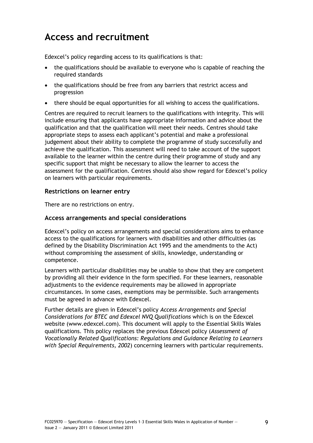# <span id="page-12-0"></span>**Access and recruitment**

Edexcel's policy regarding access to its qualifications is that:

- the qualifications should be available to everyone who is capable of reaching the required standards
- the qualifications should be free from any barriers that restrict access and progression
- there should be equal opportunities for all wishing to access the qualifications.

Centres are required to recruit learners to the qualifications with integrity. This will include ensuring that applicants have appropriate information and advice about the qualification and that the qualification will meet their needs. Centres should take appropriate steps to assess each applicant's potential and make a professional judgement about their ability to complete the programme of study successfully and achieve the qualification. This assessment will need to take account of the support available to the learner within the centre during their programme of study and any specific support that might be necessary to allow the learner to access the assessment for the qualification*.* Centres should also show regard for Edexcel's policy on learners with particular requirements.

# **Restrictions on learner entry**

There are no restrictions on entry.

# **Access arrangements and special considerations**

Edexcel's policy on access arrangements and special considerations aims to enhance access to the qualifications for learners with disabilities and other difficulties (as defined by the Disability Discrimination Act 1995 and the amendments to the Act) without compromising the assessment of skills, knowledge, understanding or competence.

Learners with particular disabilities may be unable to show that they are competent by providing all their evidence in the form specified. For these learners, reasonable adjustments to the evidence requirements may be allowed in appropriate circumstances. In some cases, exemptions may be permissible. Such arrangements must be agreed in advance with Edexcel.

Further details are given in Edexcel's policy *Access Arrangements and Special Considerations for BTEC and Edexcel NVQ Qualifications* which is on the Edexcel website (www.edexcel.com). This document will apply to the Essential Skills Wales qualifications. This policy replaces the previous Edexcel policy (*Assessment of Vocationally Related Qualifications: Regulations and Guidance Relating to Learners with Spe[cial Requirements,](http://www.edexcel.com/) 2002*) concerning learners with particular requirements.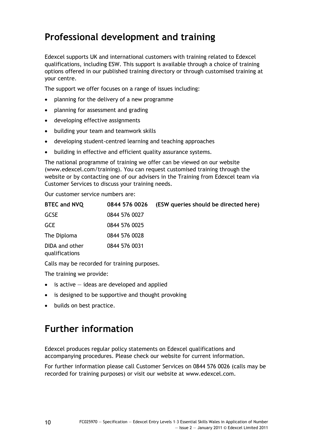# <span id="page-13-0"></span>**Professional development and training**

Edexcel supports UK and international customers with training related to Edexcel qualifications, including ESW. This support is available through a choice of training options offered in our published training directory or through customised training at your centre.

The support we offer focuses on a range of issues including:

- planning for the delivery of a new programme
- planning for assessment and grading
- developing effective assignments
- building your team and teamwork skills
- developing student-centred learning and teaching approaches
- building in effective and efficient quality assurance systems.

The national programme of training we offer can be viewed on our website (www.edexcel.com/training). You can request customised training through the website or by contacting one of our advisers in the Training from Edexcel team via Customer Services to discuss your training needs.

Our customer service numbers are:

| <b>BTEC and NVQ</b>              | 0844 576 0026 | (ESW queries should be directed here) |
|----------------------------------|---------------|---------------------------------------|
| <b>GCSE</b>                      | 0844 576 0027 |                                       |
| <b>GCE</b>                       | 0844 576 0025 |                                       |
| The Diploma                      | 0844 576 0028 |                                       |
| DIDA and other<br>qualifications | 0844 576 0031 |                                       |

Calls may be recorded for training purposes.

The training we provide:

- $\bullet$  is active  $-$  ideas are developed and applied
- is designed to be supportive and thought provoking
- builds on best practice.

# **Further information**

Edexcel produces regular policy statements on Edexcel qualifications and accompanying procedures. Please check our website for current information.

For further information please call Customer Services on 0844 576 0026 (calls may be recorded for training purposes) or visit our website at www.edexcel.com.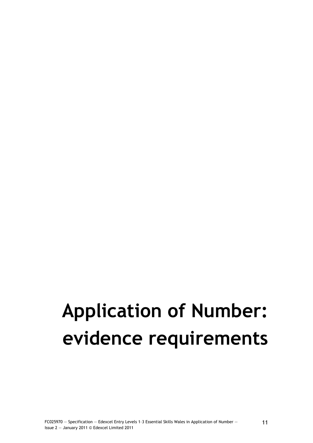# <span id="page-14-0"></span>**Application of Number: evidence requirements**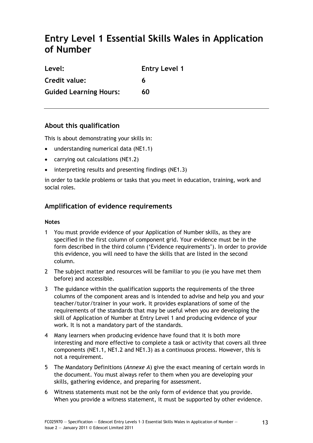# <span id="page-16-0"></span>**Entry Level 1 Essential Skills Wales in Application of Number**

| Level:                        | <b>Entry Level 1</b> |
|-------------------------------|----------------------|
| Credit value:                 | 6                    |
| <b>Guided Learning Hours:</b> | 60                   |

# **About this qualification**

This is about demonstrating your skills in:

- understanding numerical data (NE1.1)
- carrying out calculations (NE1.2)
- interpreting results and presenting findings (NE1.3)

in order to tackle problems or tasks that you meet in education, training, work and social roles.

# **Amplification of evidence requirements**

# **Notes**

- 1 You must provide evidence of your Application of Number skills, as they are specified in the first column of component grid. Your evidence must be in the form described in the third column ('Evidence requirements'). In order to provide this evidence, you will need to have the skills that are listed in the second column.
- 2 The subject matter and resources will be familiar to you (ie you have met them before) and accessible.
- 3 The guidance within the qualification supports the requirements of the three columns of the component areas and is intended to advise and help you and your teacher/tutor/trainer in your work. It provides explanations of some of the requirements of the standards that may be useful when you are developing the skill of Application of Number at Entry Level 1 and producing evidence of your work. It is not a mandatory part of the standards.
- 4 Many learners when producing evidence have found that it is both more interesting and more effective to complete a task or activity that covers all three components (NE1.1, NE1.2 and NE1.3) as a continuous process. However, this is not a requirement.
- 5 The Mandatory Definitions (*Annexe A*) give the exact meaning of certain words in the document. You must always refer to them when you are developing your skills, gathering evidence, and preparing for assessment.
- 6 Witness statements must not be the only form of evidence that you provide. When you provide a witness statement, it must be supported by other evidence.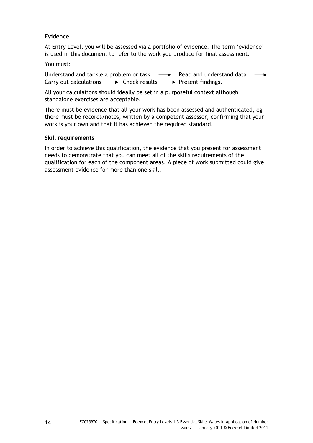# **Evidence**

At Entry Level, you will be assessed via a portfolio of evidence. The term 'evidence' is used in this document to refer to the work you produce for final assessment.

### You must:

Understand and tackle a problem or task  $\longrightarrow$  Read and understand data  $\longrightarrow$ Carry out calculations  $\longrightarrow$  Check results  $\longrightarrow$  Present findings.

All your calculations should ideally be set in a purposeful context although standalone exercises are acceptable.

There must be evidence that all your work has been assessed and authenticated, eg there must be records/notes, written by a competent assessor, confirming that your work is your own and that it has achieved the required standard.

### **Skill requirements**

In order to achieve this qualification, the evidence that you present for assessment needs to demonstrate that you can meet all of the skills requirements of the qualification for each of the component areas. A piece of work submitted could give assessment evidence for more than one skill.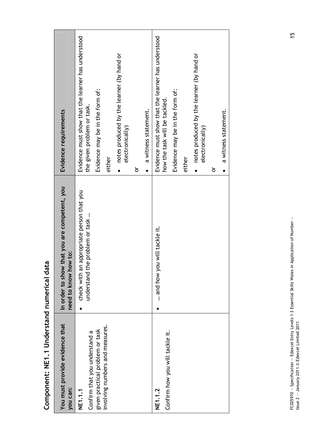| You must provide evidence that<br>you can:                                                                     | that you are competent, you<br>need to know how to:<br>In order to show     | Evidence requirements                                                                                                                                                                                                                                   |  |
|----------------------------------------------------------------------------------------------------------------|-----------------------------------------------------------------------------|---------------------------------------------------------------------------------------------------------------------------------------------------------------------------------------------------------------------------------------------------------|--|
| involving numbers and measures.<br>given practical problem or task<br>Confirm that you understand a<br>NE1.1.1 | check with an appropriate person that you<br>understand the problem or task | Evidence must show that the learner has understood<br>notes produced by the learner (by hand or<br>Evidence may be in the form of:<br>the given problem or task.<br>a witness statement.<br>electronically)<br>either<br>ŏ                              |  |
| Confirm how you will tackle it.<br>NE1.1.2                                                                     | and how you will tackle it.                                                 | Evidence must show that the learner has understood<br>notes produced by the learner (by hand or<br>Evidence may be in the form of:<br>how the task will be tackled.<br>a witness statement.<br>electronically)<br>either<br>ŏ<br>$\bullet$<br>$\bullet$ |  |
|                                                                                                                |                                                                             |                                                                                                                                                                                                                                                         |  |

Component: NE1.1 Understand numerical data **Component: NE1.1 Understand numerical data** 

FC025970 – Specification – Edexcel Entry Levels 1-3 Essential Skills Wales in Application of Number –<br>Issue 2 – January 2011 © Edexcel Limited 2011 FC025970 — Specification — Edexcel Entry Levels 1–3 Essential Skills Wales in Application of Number — Issue 2 — January 2011 © Edexcel Limited 2011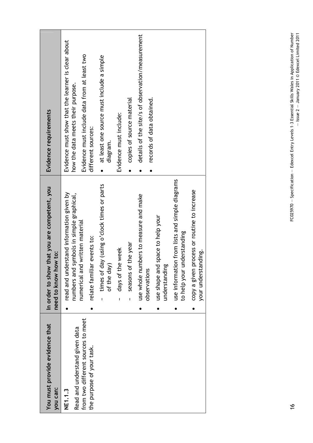| You must provide evidence that<br>you can: | that you are competent, you<br>need to know how to:<br>In order to show      | Evidence requirements                                         |
|--------------------------------------------|------------------------------------------------------------------------------|---------------------------------------------------------------|
| NE1.1.3                                    | read and understand information given by                                     | Evidence must show that the learner is clear about            |
| Read and understand given data             | symbols in simple graphical,<br>numbers and                                  | how the data meets their purpose.                             |
| from two different sources to meet         | numerical and written material                                               | Evidence must include data from at least two                  |
| the purpose of your task.                  | relate familiar events to:                                                   | different sources:                                            |
|                                            | times of day (using o'clock times or parts<br>$\mathbf{I}$                   | at least one source must include a simple<br>$\bullet$        |
|                                            | of the day                                                                   | diagram.                                                      |
|                                            | days of the week<br>ı                                                        | Evidence must include:                                        |
|                                            | seasons of the year<br>ı                                                     | copies of source material                                     |
|                                            | use whole numbers to measure and make                                        | details of the site/s of observation/measurement<br>$\bullet$ |
|                                            | observations                                                                 | records of data obtained.<br>$\bullet$                        |
|                                            | use shape and space to help your<br>understanding                            |                                                               |
|                                            | use information from lists and simple diagrams<br>to help your understanding |                                                               |
|                                            | process or routine to increase<br>your understanding.<br>copy a given        |                                                               |
|                                            |                                                                              |                                                               |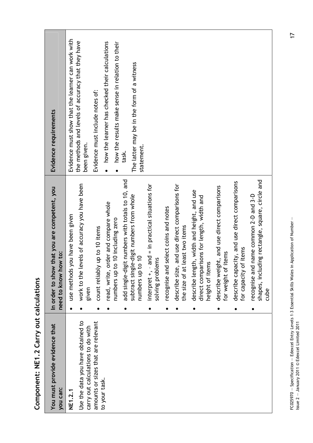| Evidence requirements                                                   | Evidence must show that the learner can work with<br>the methods and levels of accuracy that they have<br>how the learner has checked their calculations<br>how the results make sense in relation to their<br>Evidence must include notes of:<br>been given.<br>$\bullet$ | The latter may be in the form of a witness<br>statement.<br>task.                                                                                                                          |                                                                                                                                                                                                                                            |                                                                                                                                                                                                                                                         |
|-------------------------------------------------------------------------|----------------------------------------------------------------------------------------------------------------------------------------------------------------------------------------------------------------------------------------------------------------------------|--------------------------------------------------------------------------------------------------------------------------------------------------------------------------------------------|--------------------------------------------------------------------------------------------------------------------------------------------------------------------------------------------------------------------------------------------|---------------------------------------------------------------------------------------------------------------------------------------------------------------------------------------------------------------------------------------------------------|
| that you are competent, you<br>need to know how to:<br>In order to show | work to the levels of accuracy you have been<br>order and compare whole<br>use methods you have been given<br>numbers up to 10 including zero<br>count reliably up to 10 items<br>read, write,<br>given                                                                    | add single-digit numbers with totals to 10, and<br>and = in practical situations for<br>subtract single-digit numbers from whole<br>numbers up to 10<br>solving problems<br>interpret +, - | and use direct comparisons for<br>describe length, width and height, and use<br>direct comparisons for length, width and<br>recognise and select coins and notes<br>least two items<br>height of items<br>describe size,<br>the size of at | ding rectangle, square, circle and<br>describe capacity, and use direct comparisons<br>describe weight, and use direct comparisons<br>recognise and name common 2-D and 3-D<br>of items<br>for weight of items<br>shapes, inclu<br>for capacity<br>cube |
| You must provide evidence that<br>you can:                              | Use the data you have obtained to<br>amounts or sizes that are relevant<br>carry out calculations to do with<br>to your task.<br>NE1.2.1                                                                                                                                   |                                                                                                                                                                                            |                                                                                                                                                                                                                                            |                                                                                                                                                                                                                                                         |

**Component: NE1.2 Carry out calculations**  Component: NE1.2 Carry out calculations FC025970 – Specification – Edexcel Entry Levels 1-3 Essential Skills Wales in Application of Number –<br>Issue 2 – January 2011 © Edexcel Limited 2011 FC025970 — Specification — Edexcel Entry Levels 1–3 Essential Skills Wales in Application of Number — Issue 2 — January 2011 © Edexcel Limited 2011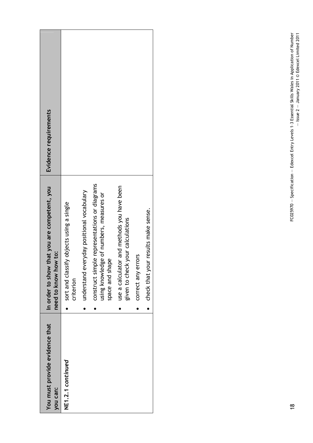| You must provide evidence that<br>you can: | that you are competent, you<br>need to know how to:<br>In order to show                                    | Evidence requirements |
|--------------------------------------------|------------------------------------------------------------------------------------------------------------|-----------------------|
| NE1.2.1 continued                          | sort and classify objects using a single<br>criterion                                                      |                       |
|                                            | understand everyday positional vocabulary                                                                  |                       |
|                                            | construct simple representations or diagrams<br>using knowledge of numbers, measures or<br>space and shape |                       |
|                                            | use a calculator and methods you have been<br>given to check your calculations                             |                       |
|                                            | correct any errors                                                                                         |                       |
|                                            | check that your results make sense.                                                                        |                       |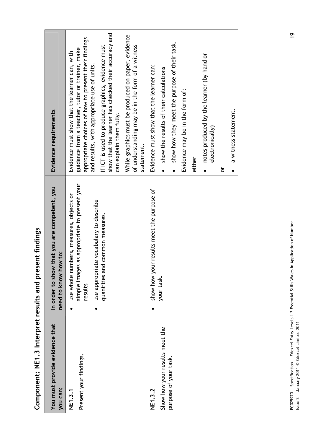| and present  |
|--------------|
|              |
| ラッシーンコー      |
| $\mathbf{r}$ |
| Componer-    |

| Evidence requirements                                                   | show that the learner has checked their accuracy and<br>While graphics must be produced on paper, evidence<br>appropriate choices of how to present their findings<br>of understanding may be in the form of a witness<br>If ICT is used to produce graphics, evidence must<br>guidance from a teacher, tutor or trainer, make<br>Evidence must show that the learner can, with<br>and results, with appropriate use of units.<br>can explain them fully.<br>statement. | show how they meet the purpose of their task.<br>notes produced by the learner (by hand or<br>Evidence must show that the learner can:<br>show the results of their calculations<br>Evidence may be in the form of:<br>a witness statement.<br>electronically)<br>either<br>ŏ<br>$\bullet$<br>$\bullet$<br>$\bullet$ |
|-------------------------------------------------------------------------|-------------------------------------------------------------------------------------------------------------------------------------------------------------------------------------------------------------------------------------------------------------------------------------------------------------------------------------------------------------------------------------------------------------------------------------------------------------------------|----------------------------------------------------------------------------------------------------------------------------------------------------------------------------------------------------------------------------------------------------------------------------------------------------------------------|
| that you are competent, you<br>need to know how to:<br>In order to show | simple images as appropriate to present your<br>use whole numbers, measures, objects or<br>use appropriate vocabulary to describe<br>quantities and common measures.<br>results                                                                                                                                                                                                                                                                                         | show how your results meet the purpose of<br>your task.                                                                                                                                                                                                                                                              |
| You must provide evidence that<br>you can:                              | Present your findings.<br>NE1.3.1                                                                                                                                                                                                                                                                                                                                                                                                                                       | Show how your results meet the<br>purpose of your task.<br>NE1.3.2                                                                                                                                                                                                                                                   |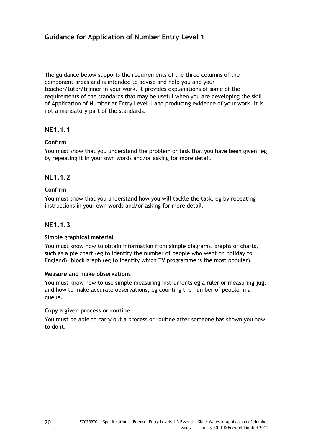The guidance below supports the requirements of the three columns of the component areas and is intended to advise and help you and your teacher/tutor/trainer in your work. It provides explanations of some of the requirements of the standards that may be useful when you are developing the skill of Application of Number at Entry Level 1 and producing evidence of your work. It is not a mandatory part of the standards.

# **NE1.1.1**

# **Confirm**

You must show that you understand the problem or task that you have been given, eg by repeating it in your own words and/or asking for more detail.

# **NE1.1.2**

# **Confirm**

You must show that you understand how you will tackle the task, eg by repeating instructions in your own words and/or asking for more detail.

# **NE1.1.3**

# **Simple graphical material**

You must know how to obtain information from simple diagrams, graphs or charts, such as a pie chart (eg to identify the number of people who went on holiday to England), block graph (eg to identify which TV programme is the most popular).

# **Measure and make observations**

You must know how to use simple measuring instruments eg a ruler or measuring jug, and how to make accurate observations, eg counting the number of people in a queue.

# **Copy a given process or routine**

You must be able to carry out a process or routine after someone has shown you how to do it.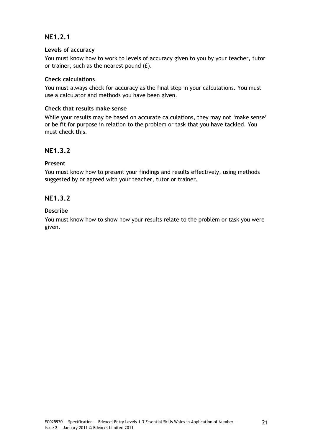# **NE1.2.1**

# **Levels of accuracy**

You must know how to work to levels of accuracy given to you by your teacher, tutor or trainer, such as the nearest pound (£).

# **Check calculations**

You must always check for accuracy as the final step in your calculations. You must use a calculator and methods you have been given.

# **Check that results make sense**

While your results may be based on accurate calculations, they may not 'make sense' or be fit for purpose in relation to the problem or task that you have tackled. You must check this.

# **NE1.3.2**

# **Present**

You must know how to present your findings and results effectively, using methods suggested by or agreed with your teacher, tutor or trainer.

# **NE1.3.2**

# **Describe**

You must know how to show how your results relate to the problem or task you were given.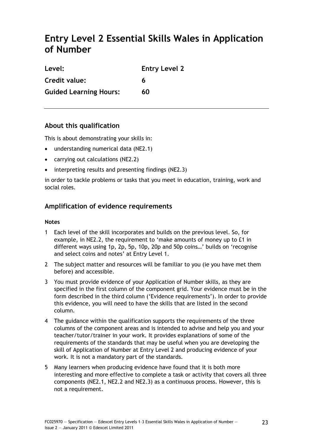# <span id="page-26-0"></span>**Entry Level 2 Essential Skills Wales in Application of Number**

| Level:                        | <b>Entry Level 2</b> |
|-------------------------------|----------------------|
| Credit value:                 | 6                    |
| <b>Guided Learning Hours:</b> | 60                   |

# **About this qualification**

This is about demonstrating your skills in:

- understanding numerical data (NE2.1)
- carrying out calculations (NE2.2)
- interpreting results and presenting findings (NE2.3)

in order to tackle problems or tasks that you meet in education, training, work and social roles.

# **Amplification of evidence requirements**

# **Notes**

- 1 Each level of the skill incorporates and builds on the previous level. So, for example, in NE2.2, the requirement to 'make amounts of money up to £1 in different ways using 1p, 2p, 5p, 10p, 20p and 50p coins…' builds on 'recognise and select coins and notes' at Entry Level 1.
- 2 The subject matter and resources will be familiar to you (ie you have met them before) and accessible.
- 3 You must provide evidence of your Application of Number skills, as they are specified in the first column of the component grid. Your evidence must be in the form described in the third column ('Evidence requirements'). In order to provide this evidence, you will need to have the skills that are listed in the second column.
- 4 The guidance within the qualification supports the requirements of the three columns of the component areas and is intended to advise and help you and your teacher/tutor/trainer in your work. It provides explanations of some of the requirements of the standards that may be useful when you are developing the skill of Application of Number at Entry Level 2 and producing evidence of your work. It is not a mandatory part of the standards.
- 5 Many learners when producing evidence have found that it is both more interesting and more effective to complete a task or activity that covers all three components (NE2.1, NE2.2 and NE2.3) as a continuous process. However, this is not a requirement.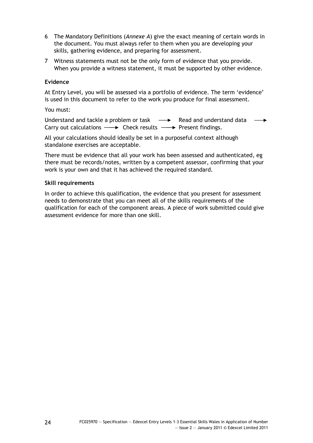- 6 The Mandatory Definitions (*Annexe A*) give the exact meaning of certain words in the document. You must always refer to them when you are developing your skills, gathering evidence, and preparing for assessment.
- 7 Witness statements must not be the only form of evidence that you provide. When you provide a witness statement, it must be supported by other evidence.

# **Evidence**

At Entry Level, you will be assessed via a portfolio of evidence. The term 'evidence' is used in this document to refer to the work you produce for final assessment.

### You must:

Understand and tackle a problem or task  $\longrightarrow$  Read and understand data  $\longrightarrow$ Carry out calculations  $\longrightarrow$  Check results  $\longrightarrow$  Present findings.

All your calculations should ideally be set in a purposeful context although standalone exercises are acceptable.

There must be evidence that all your work has been assessed and authenticated, eg there must be records/notes, written by a competent assessor, confirming that your work is your own and that it has achieved the required standard.

### **Skill requirements**

In order to achieve this qualification, the evidence that you present for assessment needs to demonstrate that you can meet all of the skills requirements of the qualification for each of the component areas. A piece of work submitted could give assessment evidence for more than one skill.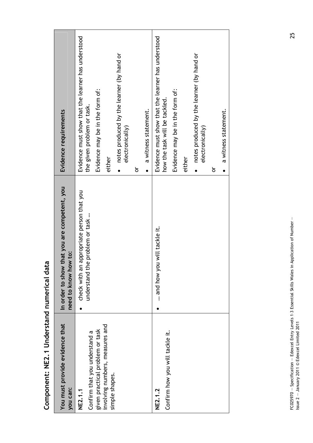| You must provide evidence that<br>you can:                                                                                                  | In order to show that you are competent, you<br>need to know how to:                                          | Evidence requirements                                                                                                                                                                                                                                                                                      |
|---------------------------------------------------------------------------------------------------------------------------------------------|---------------------------------------------------------------------------------------------------------------|------------------------------------------------------------------------------------------------------------------------------------------------------------------------------------------------------------------------------------------------------------------------------------------------------------|
| involving numbers, measures and<br>given practical problem or task<br>Confirm that you understand a<br>simple shapes.<br>NE2.1.2<br>NE2.1.1 | appropriate person that you<br>understand the problem or task<br>and how you will tackle it.<br>check with an | Evidence must show that the learner has understood<br>Evidence must show that the learner has understood<br>notes produced by the learner (by hand or<br>Evidence may be in the form of:<br>the given problem or task.<br>a witness statement.<br>electronically)<br>either<br>ŏ<br>$\bullet$<br>$\bullet$ |
| Confirm how you will tackle it.                                                                                                             |                                                                                                               | notes produced by the learner (by hand or<br>Evidence may be in the form of:<br>how the task will be tackled.<br>a witness statement.<br>electronically)<br>either<br>ŏ<br>$\bullet$<br>$\bullet$                                                                                                          |
|                                                                                                                                             |                                                                                                               |                                                                                                                                                                                                                                                                                                            |

Component: NE2.1 Understand numerical data **Component: NE2.1 Understand numerical data**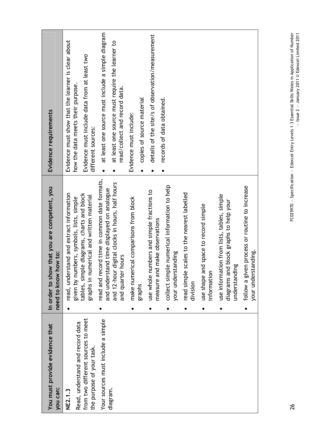| You must provide evidence that<br>you can:                      | In order to show that you are competent, you<br>need to know how to:                                  | Evidence requirements                                                                   |
|-----------------------------------------------------------------|-------------------------------------------------------------------------------------------------------|-----------------------------------------------------------------------------------------|
| Read, understand and record data<br>NE2.1.3                     | read, understand and extract information<br>given by numbers, symbols, lists, simple                  | Evidence must show that the learner is clear about<br>how the data meets their purpose. |
| from two different sources to meet<br>the purpose of your task. | tables, simple diagrams, charts and block<br>graphs in numerical and written material                 | Evidence must include data from at least two<br>different sources:                      |
| Your sources must include a simple                              | read and record time in common date formats,<br>and understand time displayed on analogue             | at least one source must include a simple diagram<br>$\bullet$                          |
| diagram.                                                        | digital clocks in hours, half hours<br><b>COUTS</b><br>and 12-hour<br>and quarter                     | at least one source must require the learner to<br>read/collect and record data.        |
|                                                                 | ical comparisons from block<br>make numeri                                                            | Evidence must include:                                                                  |
|                                                                 | graphs                                                                                                | copies of source material<br>$\bullet$                                                  |
|                                                                 | imbers and simple fractions to<br>measure and make observations<br>use whole nu                       | details of the site/s of observation/measurement                                        |
|                                                                 | collect simple numerical information to help                                                          | records of data obtained.                                                               |
|                                                                 | your understanding                                                                                    |                                                                                         |
|                                                                 | read simple scales to the nearest labelled<br>division                                                |                                                                                         |
|                                                                 | use shape and space to record simple<br>information                                                   |                                                                                         |
|                                                                 | use information from lists, tables, simple<br>diagrams and block graphs to help your<br>understanding |                                                                                         |
|                                                                 | follow a given process or routine to increase<br>your understanding.                                  |                                                                                         |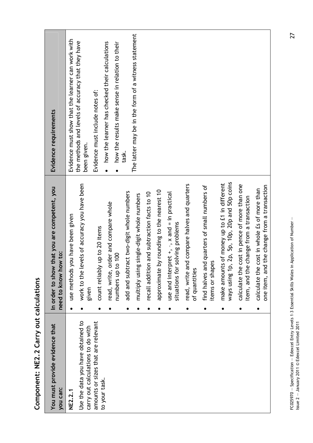| You must provide evidence that<br>you can:                             |           | that you are competent, you<br>need to know how to:<br>In order to show                       | Evidence requirements                                                                                          |
|------------------------------------------------------------------------|-----------|-----------------------------------------------------------------------------------------------|----------------------------------------------------------------------------------------------------------------|
| <b>NE2.2.1</b>                                                         |           | you have been given<br>use methods                                                            | Evidence must show that the learner can work with                                                              |
| Use the data you have obtained to<br>carry out calculations to do with |           | work to the levels of accuracy you have been<br>given                                         | the methods and levels of accuracy that they have<br>been given.                                               |
| amounts or sizes that are relevant<br>to your task.                    |           | count reliably up to 20 items                                                                 | Evidence must include notes of:                                                                                |
|                                                                        |           | read, write, order and compare whole<br>numbers up to 100                                     | how the learner has checked their calculations<br>how the results make sense in relation to their<br>$\bullet$ |
|                                                                        |           | add and subtract two-digit whole numbers                                                      | task.                                                                                                          |
|                                                                        |           | multiply using single-digit whole numbers                                                     | The latter may be in the form of a witness statement                                                           |
|                                                                        |           | recall addition and subtraction facts to 10                                                   |                                                                                                                |
|                                                                        |           | by rounding to the nearest 10<br>approximate                                                  |                                                                                                                |
|                                                                        |           | use and interpret $+, -$ , $\times$ and = in practical<br>situations for solving problems     |                                                                                                                |
|                                                                        |           | read, write and compare halves and quarters<br>of quantities                                  |                                                                                                                |
|                                                                        |           | find halves and quarters of small numbers of<br>items or shapes                               |                                                                                                                |
|                                                                        | $\bullet$ | ways using 1p, 2p, 5p, 10p, 20p and 50p coins<br>make amounts of money up to £1 in different  |                                                                                                                |
|                                                                        |           | cost in pence of more than one<br>item, and the change from a transaction<br>calculate the    |                                                                                                                |
|                                                                        | ٠         | one item, and the change from a transaction<br>cost in whole £s of more than<br>calculate the |                                                                                                                |

Component: NE2.2 Carry out calculations **Component: NE2.2 Carry out calculations**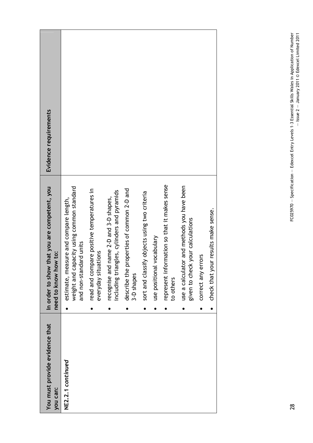| You must provide evidence that<br>you can: | that you are competent, you<br>need to know how to:<br>In order to show                                               | Evidence requirements |
|--------------------------------------------|-----------------------------------------------------------------------------------------------------------------------|-----------------------|
| NE2.2.1 continued                          | pacity using common standard<br>estimate, measure and compare length,<br>lard units<br>weight and ca<br>and non-stand |                       |
|                                            | read and compare positive temperatures in<br>everyday situations                                                      |                       |
|                                            | including triangles, cylinders and pyramids<br>name 2-D and 3-D shapes,<br>recognise and<br>$\bullet$                 |                       |
|                                            | describe the properties of common 2-D and<br>3-D shapes<br>$\bullet$                                                  |                       |
|                                            | sort and classify objects using two criteria<br>$\bullet$                                                             |                       |
|                                            | use positional vocabulary                                                                                             |                       |
|                                            | represent information so that it makes sense<br>to others                                                             |                       |
|                                            | use a calculator and methods you have been<br>given to check your calculations<br>$\bullet$                           |                       |
|                                            | correct any errors<br>$\bullet$                                                                                       |                       |
|                                            | check that your results make sense.<br>$\bullet$                                                                      |                       |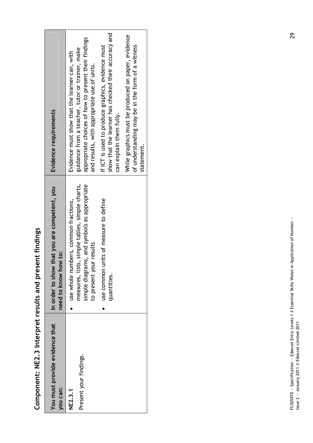Component: NE2.3 Interpret results and present findings **Component: NE2.3 Interpret results and present findings** 

| You must provide evidence that<br>you can: | that you are competent, you<br>need to know how to:<br>In order to show                                                                                                                                                       | Evidence requirements                                                                                                                                                                                                                                                                                                                                                                                                                                                   |
|--------------------------------------------|-------------------------------------------------------------------------------------------------------------------------------------------------------------------------------------------------------------------------------|-------------------------------------------------------------------------------------------------------------------------------------------------------------------------------------------------------------------------------------------------------------------------------------------------------------------------------------------------------------------------------------------------------------------------------------------------------------------------|
| Present your findings.<br><b>NE2.3.1</b>   | measures, lists, simple tables, simple charts,<br>simple diagrams, and symbols as appropriate<br>use common units of measure to define<br>use whole numbers, common fractions,<br>r results<br>to present your<br>quantities. | show that the learner has checked their accuracy and<br>While graphics must be produced on paper, evidence<br>appropriate choices of how to present their findings<br>of understanding may be in the form of a witness<br>If ICT is used to produce graphics, evidence must<br>guidance from a teacher, tutor or trainer, make<br>Evidence must show that the learner can, with<br>and results, with appropriate use of units.<br>can explain them fully.<br>statement. |
|                                            |                                                                                                                                                                                                                               |                                                                                                                                                                                                                                                                                                                                                                                                                                                                         |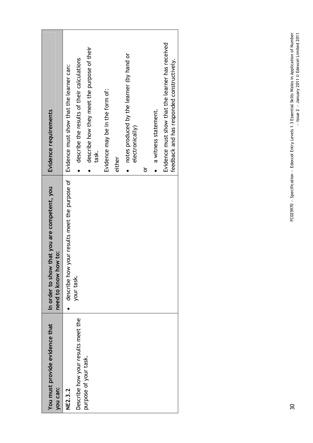| You must provide evidence that     | that you are competent, you<br>In order to show  | Evidence requirements                                                                          |
|------------------------------------|--------------------------------------------------|------------------------------------------------------------------------------------------------|
| you can:                           | need to know how to:                             |                                                                                                |
| NE2.3.2                            | your results meet the purpose of<br>describe how | Evidence must show that the learner can:                                                       |
| Describe how your results meet the | your task.                                       | describe the results of their calculations                                                     |
| purpose of your task.              |                                                  | describe how they meet the purpose of their<br>task.                                           |
|                                    |                                                  | Evidence may be in the form of:                                                                |
|                                    |                                                  | either                                                                                         |
|                                    |                                                  | notes produced by the learner (by hand or<br>electronically)                                   |
|                                    |                                                  | ŏ                                                                                              |
|                                    |                                                  | a witness statement.                                                                           |
|                                    |                                                  | Evidence must show that the learner has received<br>feedback and has responded constructively. |
|                                    |                                                  |                                                                                                |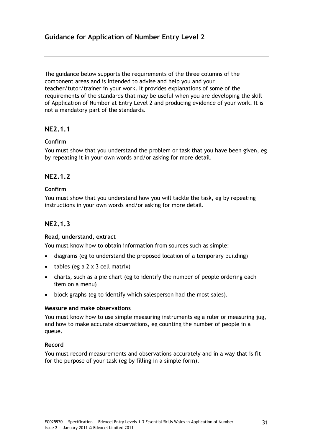The guidance below supports the requirements of the three columns of the component areas and is intended to advise and help you and your teacher/tutor/trainer in your work. It provides explanations of some of the requirements of the standards that may be useful when you are developing the skill of Application of Number at Entry Level 2 and producing evidence of your work. It is not a mandatory part of the standards.

# **NE2.1.1**

# **Confirm**

You must show that you understand the problem or task that you have been given, eg by repeating it in your own words and/or asking for more detail.

# **NE2.1.2**

# **Confirm**

You must show that you understand how you will tackle the task, eg by repeating instructions in your own words and/or asking for more detail.

# **NE2.1.3**

# **Read, understand, extract**

You must know how to obtain information from sources such as simple:

- diagrams (eg to understand the proposed location of a temporary building)
- tables (eg a  $2 \times 3$  cell matrix)
- charts, such as a pie chart (eg to identify the number of people ordering each item on a menu)
- block graphs (eg to identify which salesperson had the most sales).

# **Measure and make observations**

You must know how to use simple measuring instruments eg a ruler or measuring jug, and how to make accurate observations, eg counting the number of people in a queue.

# **Record**

You must record measurements and observations accurately and in a way that is fit for the purpose of your task (eg by filling in a simple form).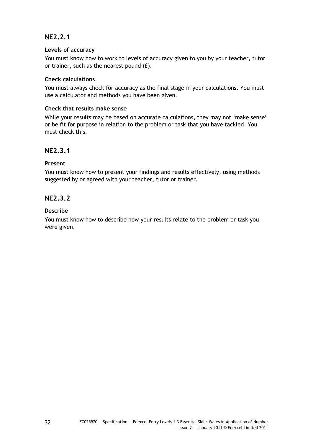# **NE2.2.1**

# **Levels of accuracy**

You must know how to work to levels of accuracy given to you by your teacher, tutor or trainer, such as the nearest pound (£).

# **Check calculations**

You must always check for accuracy as the final stage in your calculations. You must use a calculator and methods you have been given.

# **Check that results make sense**

While your results may be based on accurate calculations, they may not 'make sense' or be fit for purpose in relation to the problem or task that you have tackled. You must check this.

# **NE2.3.1**

# **Present**

You must know how to present your findings and results effectively, using methods suggested by or agreed with your teacher, tutor or trainer.

# **NE2.3.2**

# **Describe**

You must know how to describe how your results relate to the problem or task you were given.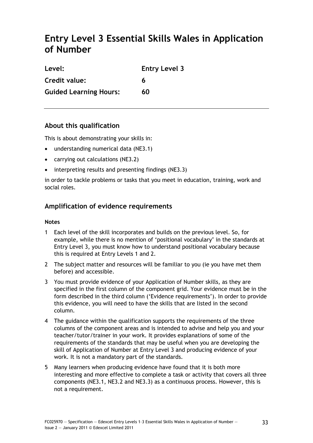# **Entry Level 3 Essential Skills Wales in Application of Number**

| Level:                        | <b>Entry Level 3</b> |
|-------------------------------|----------------------|
| Credit value:                 | 6                    |
| <b>Guided Learning Hours:</b> | 60                   |

# **About this qualification**

This is about demonstrating your skills in:

- understanding numerical data (NE3.1)
- carrying out calculations (NE3.2)
- interpreting results and presenting findings (NE3.3)

in order to tackle problems or tasks that you meet in education, training, work and social roles.

# **Amplification of evidence requirements**

# **Notes**

- 1 Each level of the skill incorporates and builds on the previous level. So, for example, while there is no mention of 'positional vocabulary' in the standards at Entry Level 3, you must know how to understand positional vocabulary because this is required at Entry Levels 1 and 2.
- 2 The subject matter and resources will be familiar to you (ie you have met them before) and accessible.
- 3 You must provide evidence of your Application of Number skills, as they are specified in the first column of the component grid. Your evidence must be in the form described in the third column ('Evidence requirements'). In order to provide this evidence, you will need to have the skills that are listed in the second column.
- 4 The guidance within the qualification supports the requirements of the three columns of the component areas and is intended to advise and help you and your teacher/tutor/trainer in your work. It provides explanations of some of the requirements of the standards that may be useful when you are developing the skill of Application of Number at Entry Level 3 and producing evidence of your work. It is not a mandatory part of the standards.
- 5 Many learners when producing evidence have found that it is both more interesting and more effective to complete a task or activity that covers all three components (NE3.1, NE3.2 and NE3.3) as a continuous process. However, this is not a requirement.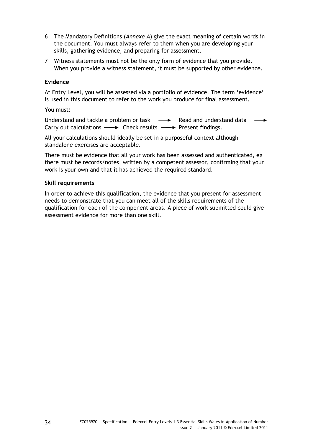- 6 The Mandatory Definitions (*Annexe A*) give the exact meaning of certain words in the document. You must always refer to them when you are developing your skills, gathering evidence, and preparing for assessment.
- 7 Witness statements must not be the only form of evidence that you provide. When you provide a witness statement, it must be supported by other evidence.

# **Evidence**

At Entry Level, you will be assessed via a portfolio of evidence. The term 'evidence' is used in this document to refer to the work you produce for final assessment.

#### You must:

Understand and tackle a problem or task  $\longrightarrow$  Read and understand data  $\longrightarrow$ Carry out calculations  $\longrightarrow$  Check results  $\longrightarrow$  Present findings.

All your calculations should ideally be set in a purposeful context although standalone exercises are acceptable.

There must be evidence that all your work has been assessed and authenticated, eg there must be records/notes, written by a competent assessor, confirming that your work is your own and that it has achieved the required standard.

### **Skill requirements**

In order to achieve this qualification, the evidence that you present for assessment needs to demonstrate that you can meet all of the skills requirements of the qualification for each of the component areas. A piece of work submitted could give assessment evidence for more than one skill.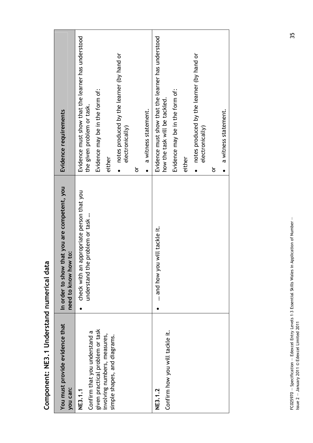| You must provide evidence that<br>you can:                                                                                                                                                | In order to show that you are competent, you<br>need to know how to:                                          | Evidence requirements                                                                                                                                                                                                                                                                                                                                                                    |
|-------------------------------------------------------------------------------------------------------------------------------------------------------------------------------------------|---------------------------------------------------------------------------------------------------------------|------------------------------------------------------------------------------------------------------------------------------------------------------------------------------------------------------------------------------------------------------------------------------------------------------------------------------------------------------------------------------------------|
| given practical problem or task<br>Confirm how you will tackle it.<br>Confirm that you understand a<br>involving numbers, measures,<br>simple shapes, and diagrams.<br>NE3.1.2<br>NE3.1.1 | appropriate person that you<br>understand the problem or task<br>and how you will tackle it.<br>check with an | Evidence must show that the learner has understood<br>Evidence must show that the learner has understood<br>notes produced by the learner (by hand or<br>Evidence may be in the form of:<br>Evidence may be in the form of:<br>how the task will be tackled.<br>the given problem or task.<br>a witness statement.<br>electronically)<br>either<br>either<br>ŏ<br>$\bullet$<br>$\bullet$ |
|                                                                                                                                                                                           |                                                                                                               | notes produced by the learner (by hand or<br>a witness statement.<br>electronically)<br>ŏ<br>$\bullet$<br>$\bullet$                                                                                                                                                                                                                                                                      |
|                                                                                                                                                                                           |                                                                                                               |                                                                                                                                                                                                                                                                                                                                                                                          |

Component: NE3.1 Understand numerical data **Component: NE3.1 Understand numerical data**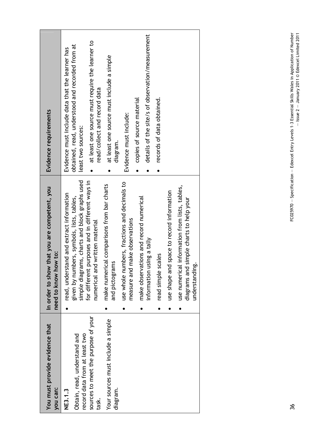| Evidence requirements                                                | at least one source must require the learner to<br>obtained, read, understood and recorded from at<br>Evidence must include data that the learner has<br>read/collect and record data<br>least two sources:                    | at least one source must include a simple<br>diagram.        | copies of source material<br>Evidence must include:                                                                        | details of the site/s of observation/measurement | records of data obtained. |                                           |                                                                                                            |
|----------------------------------------------------------------------|--------------------------------------------------------------------------------------------------------------------------------------------------------------------------------------------------------------------------------|--------------------------------------------------------------|----------------------------------------------------------------------------------------------------------------------------|--------------------------------------------------|---------------------------|-------------------------------------------|------------------------------------------------------------------------------------------------------------|
| In order to show that you are competent, you<br>need to know how to: | simple diagrams, charts and block graphs used<br>purposes and in different ways in<br>read, understand and extract information<br>given by numbers, symbols, lists, tables,<br>numerical and written material<br>for different | make numerical comparisons from bar charts<br>and pictograms | use whole numbers, fractions and decimals to<br>make observations and record numerical<br>make observations<br>measure and | information using a tally                        | read simple scales        | use shape and space to record information | use numerical information from lists, tables,<br>diagrams and simple charts to help your<br>understanding. |
|                                                                      |                                                                                                                                                                                                                                |                                                              |                                                                                                                            |                                                  |                           |                                           |                                                                                                            |
| You must provide evidence that<br>you can:                           | sources to meet the purpose of your<br>Obtain, read, understand and<br>record data from at least two<br>NE3.1.3<br>task.                                                                                                       | Your sources must include a simple<br>diagram.               |                                                                                                                            |                                                  |                           |                                           |                                                                                                            |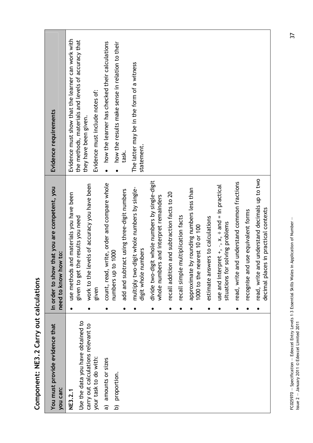|                                          | Evidence must show that the learner can work with<br>the methods, materials and levels of accuracy that | how the learner has checked their calculations<br>how the results make sense in relation to their |                                            | The latter may be in the form of a witness                         |                                                                                          |                                             |                                       |                                                                            |                                  |                                                                                                 |                                             |                                    |                                                                                       |
|------------------------------------------|---------------------------------------------------------------------------------------------------------|---------------------------------------------------------------------------------------------------|--------------------------------------------|--------------------------------------------------------------------|------------------------------------------------------------------------------------------|---------------------------------------------|---------------------------------------|----------------------------------------------------------------------------|----------------------------------|-------------------------------------------------------------------------------------------------|---------------------------------------------|------------------------------------|---------------------------------------------------------------------------------------|
| Evidence requirements                    | Evidence must include notes of:<br>they have been given.                                                | $\bullet$                                                                                         | task.                                      | statement.                                                         |                                                                                          |                                             |                                       |                                                                            |                                  |                                                                                                 |                                             |                                    |                                                                                       |
| that you are competent, you              | work to the levels of accuracy you have been<br>and materials you have been<br>the results you need     | write, order and compare whole<br>numbers up to 1000                                              | add and subtract using three-digit numbers | multiply two-digit whole numbers by single-<br>digit whole numbers | divide two-digit whole numbers by single-digit<br>whole numbers and interpret remainders | recall addition and subtraction facts to 20 | multiplication facts<br>recall simple | approximate by rounding numbers less than<br>1000 to the nearest 10 or 100 | estimate answers to calculations | use and interpret $+,$ , $, x$ , $\div$ and $=$ in practical<br>situations for solving problems | read, write and understand common fractions | recognise and use equivalent forms | read, write and understand decimals up to two<br>decimal places in practical contexts |
|                                          | use methods<br>given to get<br>given                                                                    | count, read,                                                                                      |                                            |                                                                    |                                                                                          |                                             |                                       |                                                                            |                                  |                                                                                                 |                                             |                                    |                                                                                       |
| need to know how to:<br>In order to show |                                                                                                         |                                                                                                   |                                            |                                                                    |                                                                                          |                                             |                                       |                                                                            |                                  |                                                                                                 |                                             |                                    |                                                                                       |

**Component: NE3.2 Carry out calculations**  Component: NE3.2 Carry out calculations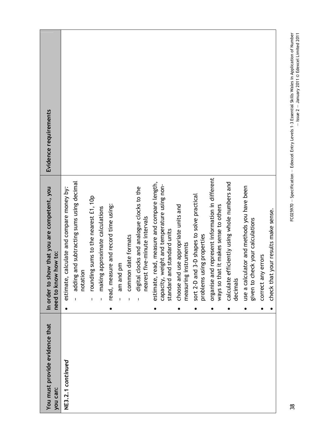| Evidence requirements                                                   |                                                                                                                                                                                                                                                                                                                                                                                                                                                                                                                                                                                                                                                                                                                                                                                                                                                                                                                                                                                                                                               |
|-------------------------------------------------------------------------|-----------------------------------------------------------------------------------------------------------------------------------------------------------------------------------------------------------------------------------------------------------------------------------------------------------------------------------------------------------------------------------------------------------------------------------------------------------------------------------------------------------------------------------------------------------------------------------------------------------------------------------------------------------------------------------------------------------------------------------------------------------------------------------------------------------------------------------------------------------------------------------------------------------------------------------------------------------------------------------------------------------------------------------------------|
| that you are competent, you<br>need to know how to:<br>In order to show | represent information in different<br>adding and subtracting sums using decimal<br>calculate efficiently using whole numbers and<br>estimate, read, measure and compare length,<br>capacity, weight and temperature using non-<br>use a calculator and methods you have been<br>estimate, calculate and compare money by:<br>digital clocks and analogue clocks to the<br>sort 2-D and 3-D shapes to solve practical<br>rounding sums to the nearest £1, 10p<br>read, measure and record time using:<br>choose and use appropriate units and<br>ways so that it makes sense to others<br>making approximate calculations<br>check that your results make sense.<br>nearest five-minute intervals<br>given to check your calculations<br>standard units<br>problems using properties<br>common date formats<br>measuring instruments<br>correct any errors<br>am and pm<br>organise and<br>standard and<br>notation<br>decimals<br>$\mathbf{I}$<br>$\mathbf{I}$<br>$\mathbf I$<br>$\mathbf{I}$<br>$\mathbf{I}$<br>J.<br>$\bullet$<br>$\bullet$ |
| You must provide evidence that<br>you can:                              | NE3.2.1 continued                                                                                                                                                                                                                                                                                                                                                                                                                                                                                                                                                                                                                                                                                                                                                                                                                                                                                                                                                                                                                             |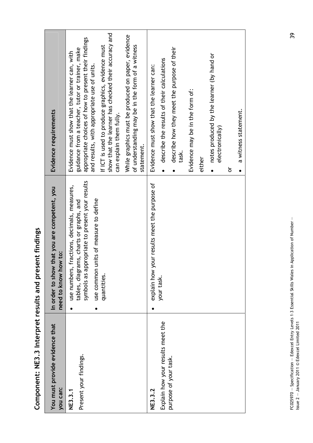| さくこう ミューキ<br>s and present |
|----------------------------|
|                            |
| <b>ADIESTIE</b>            |
| NE3.3 Interpret results    |
|                            |
| amponent.                  |

| Evidence requirements                                                   | show that the learner has checked their accuracy and<br>appropriate choices of how to present their findings<br>If ICT is used to produce graphics, evidence must<br>guidance from a teacher, tutor or trainer, make<br>Evidence must show that the learner can, with<br>and results, with appropriate use of units.<br>can explain them fully. | While graphics must be produced on paper, evidence<br>of understanding may be in the form of a witness<br>statement. | Evidence must show that the learner can:     | describe the results of their calculations<br>$\bullet$ | describe how they meet the purpose of their<br>task. | Evidence may be in the form of: | either | notes produced by the learner (by hand or<br>electronically)<br>$\bullet$ | ŏ | a witness statement.<br>$\bullet$ |
|-------------------------------------------------------------------------|-------------------------------------------------------------------------------------------------------------------------------------------------------------------------------------------------------------------------------------------------------------------------------------------------------------------------------------------------|----------------------------------------------------------------------------------------------------------------------|----------------------------------------------|---------------------------------------------------------|------------------------------------------------------|---------------------------------|--------|---------------------------------------------------------------------------|---|-----------------------------------|
| that you are competent, you<br>need to know how to:<br>In order to show | symbols as appropriate to present your results<br>fractions, decimals, measures,<br>units of measure to define<br>tables, diagrams, charts or graphs, and<br>use numbers,<br>use common<br>quantities.                                                                                                                                          |                                                                                                                      | explain how your results meet the purpose of | your task.                                              |                                                      |                                 |        |                                                                           |   |                                   |
| You must provide evidence that<br>you can:                              | Present your findings.<br>NE3.3.1                                                                                                                                                                                                                                                                                                               |                                                                                                                      | NE3.3.2                                      | Explain how your results meet the                       | purpose of your task.                                |                                 |        |                                                                           |   |                                   |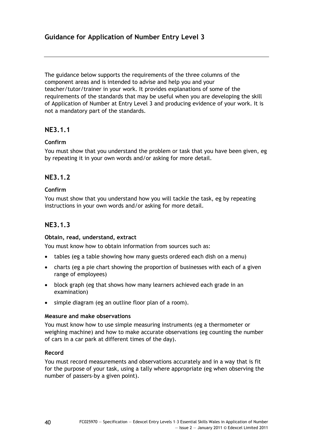The guidance below supports the requirements of the three columns of the component areas and is intended to advise and help you and your teacher/tutor/trainer in your work. It provides explanations of some of the requirements of the standards that may be useful when you are developing the skill of Application of Number at Entry Level 3 and producing evidence of your work. It is not a mandatory part of the standards.

# **NE3.1.1**

# **Confirm**

You must show that you understand the problem or task that you have been given, eg by repeating it in your own words and/or asking for more detail.

# **NE3.1.2**

# **Confirm**

You must show that you understand how you will tackle the task, eg by repeating instructions in your own words and/or asking for more detail.

# **NE3.1.3**

# **Obtain, read, understand, extract**

You must know how to obtain information from sources such as:

- tables (eg a table showing how many guests ordered each dish on a menu)
- charts (eg a pie chart showing the proportion of businesses with each of a given range of employees)
- block graph (eg that shows how many learners achieved each grade in an examination)
- simple diagram (eg an outline floor plan of a room).

# **Measure and make observations**

You must know how to use simple measuring instruments (eg a thermometer or weighing machine) and how to make accurate observations (eg counting the number of cars in a car park at different times of the day).

# **Record**

You must record measurements and observations accurately and in a way that is fit for the purpose of your task, using a tally where appropriate (eg when observing the number of passers-by a given point).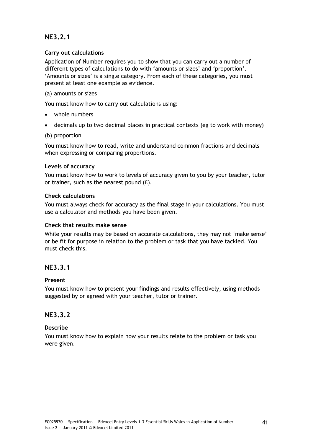# **NE3.2.1**

# **Carry out calculations**

Application of Number requires you to show that you can carry out a number of different types of calculations to do with 'amounts or sizes' and 'proportion'. 'Amounts or sizes' is a single category. From each of these categories, you must present at least one example as evidence.

# (a) amounts or sizes

You must know how to carry out calculations using:

- whole numbers
- decimals up to two decimal places in practical contexts (eg to work with money)

# (b) proportion

You must know how to read, write and understand common fractions and decimals when expressing or comparing proportions.

# **Levels of accuracy**

You must know how to work to levels of accuracy given to you by your teacher, tutor or trainer, such as the nearest pound (£).

# **Check calculations**

You must always check for accuracy as the final stage in your calculations. You must use a calculator and methods you have been given.

# **Check that results make sense**

While your results may be based on accurate calculations, they may not 'make sense' or be fit for purpose in relation to the problem or task that you have tackled. You must check this.

# **NE3.3.1**

# **Present**

You must know how to present your findings and results effectively, using methods suggested by or agreed with your teacher, tutor or trainer.

# **NE3.3.2**

# **Describe**

You must know how to explain how your results relate to the problem or task you were given.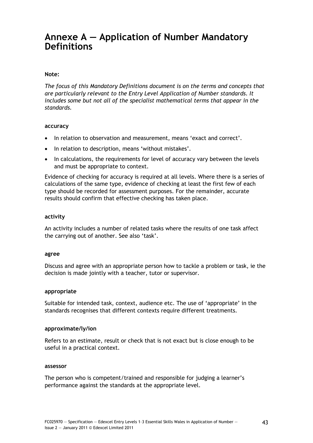# **Annexe A — Application of Number Mandatory Definitions**

## **Note:**

*The focus of this Mandatory Definitions document is on the terms and concepts that are particularly relevant to the Entry Level Application of Number standards. It*  includes some but not all of the specialist mathematical terms that appear in the *standards.* 

#### **accuracy**

- In relation to observation and measurement, means 'exact and correct'.
- In relation to description, means 'without mistakes'.
- In calculations, the requirements for level of accuracy vary between the levels and must be appropriate to context.

Evidence of checking for accuracy is required at all levels. Where there is a series of calculations of the same type, evidence of checking at least the first few of each type should be recorded for assessment purposes. For the remainder, accurate results should confirm that effective checking has taken place.

#### **activity**

An activity includes a number of related tasks where the results of one task affect the carrying out of another. See also 'task'.

#### **agree**

Discuss and agree with an appropriate person how to tackle a problem or task, ie the decision is made jointly with a teacher, tutor or supervisor.

#### **appropriate**

Suitable for intended task, context, audience etc. The use of 'appropriate' in the standards recognises that different contexts require different treatments.

#### **approximate/ly/ion**

Refers to an estimate, result or check that is not exact but is close enough to be useful in a practical context.

#### **assessor**

The person who is competent/trained and responsible for judging a learner's performance against the standards at the appropriate level.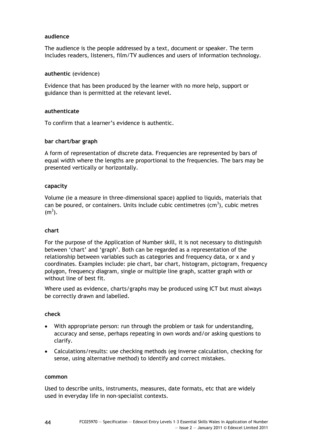## **audience**

The audience is the people addressed by a text, document or speaker. The term includes readers, listeners, film/TV audiences and users of information technology.

#### **authentic** (evidence)

Evidence that has been produced by the learner with no more help, support or guidance than is permitted at the relevant level.

### **authenticate**

To confirm that a learner's evidence is authentic.

### **bar chart/bar graph**

A form of representation of discrete data. Frequencies are represented by bars of equal width where the lengths are proportional to the frequencies. The bars may be presented vertically or horizontally.

### **capacity**

Volume (ie a measure in three-dimensional space) applied to liquids, materials that can be poured, or containers. Units include cubic centimetres  $(cm<sup>3</sup>)$ , cubic metres  $(m<sup>3</sup>)$ .

#### **chart**

For the purpose of the Application of Number skill, it is not necessary to distinguish between 'chart' and 'graph'. Both can be regarded as a representation of the relationship between variables such as categories and frequency data, or x and y coordinates. Examples include: pie chart, bar chart, histogram, pictogram, frequency polygon, frequency diagram, single or multiple line graph, scatter graph with or without line of best fit.

Where used as evidence, charts/graphs may be produced using ICT but must always be correctly drawn and labelled.

# **check**

- With appropriate person: run through the problem or task for understanding, accuracy and sense, perhaps repeating in own words and/or asking questions to clarify.
- Calculations/results: use checking methods (eg inverse calculation, checking for sense, using alternative method) to identify and correct mistakes.

#### **common**

Used to describe units, instruments, measures, date formats, etc that are widely used in everyday life in non-specialist contexts.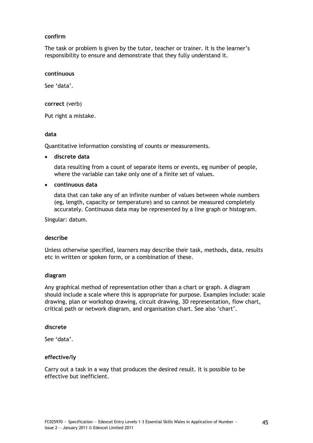# **confirm**

The task or problem is given by the tutor, teacher or trainer. It is the learner's responsibility to ensure and demonstrate that they fully understand it.

#### **continuous**

See 'data'.

### **correct** (verb)

Put right a mistake.

### **data**

Quantitative information consisting of counts or measurements.

# **discrete data**

data resulting from a count of separate items or events, eg number of people, where the variable can take only one of a finite set of values.

### **continuous data**

data that can take any of an infinite number of values between whole numbers (eg, length, capacity or temperature) and so cannot be measured completely accurately. Continuous data may be represented by a line graph or histogram.

Singular: datum.

# **describe**

Unless otherwise specified, learners may describe their task, methods, data, results etc in written or spoken form, or a combination of these.

# **diagram**

Any graphical method of representation other than a chart or graph. A diagram should include a scale where this is appropriate for purpose. Examples include: scale drawing, plan or workshop drawing, circuit drawing, 3D representation, flow chart, critical path or network diagram, and organisation chart. See also 'chart'.

#### **discrete**

See 'data'.

# **effective/ly**

Carry out a task in a way that produces the desired result. It is possible to be effective but inefficient.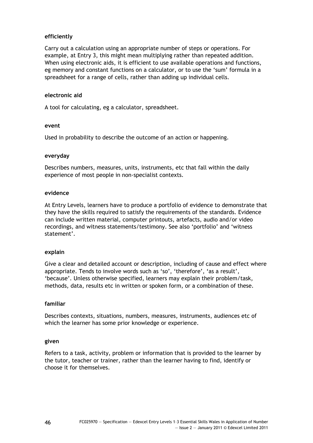# **efficiently**

Carry out a calculation using an appropriate number of steps or operations. For example, at Entry 3, this might mean multiplying rather than repeated addition. When using electronic aids, it is efficient to use available operations and functions, eg memory and constant functions on a calculator, or to use the 'sum' formula in a spreadsheet for a range of cells, rather than adding up individual cells.

# **electronic aid**

A tool for calculating, eg a calculator, spreadsheet.

### **event**

Used in probability to describe the outcome of an action or happening.

### **everyday**

Describes numbers, measures, units, instruments, etc that fall within the daily experience of most people in non-specialist contexts.

#### **evidence**

At Entry Levels, learners have to produce a portfolio of evidence to demonstrate that they have the skills required to satisfy the requirements of the standards. Evidence can include written material, computer printouts, artefacts, audio and/or video recordings, and witness statements/testimony. See also 'portfolio' and 'witness statement'.

#### **explain**

Give a clear and detailed account or description, including of cause and effect where appropriate. Tends to involve words such as 'so', 'therefore', 'as a result', 'because'. Unless otherwise specified, learners may explain their problem/task, methods, data, results etc in written or spoken form, or a combination of these.

# **familiar**

Describes contexts, situations, numbers, measures, instruments, audiences etc of which the learner has some prior knowledge or experience.

#### **given**

Refers to a task, activity, problem or information that is provided to the learner by the tutor, teacher or trainer, rather than the learner having to find, identify or choose it for themselves.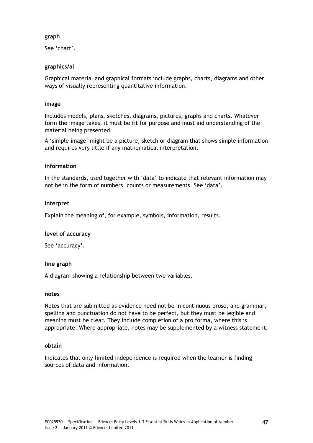# **graph**

See 'chart'.

# **graphics/al**

Graphical material and graphical formats include graphs, charts, diagrams and other ways of visually representing quantitative information.

# **image**

Includes models, plans, sketches, diagrams, pictures, graphs and charts. Whatever form the image takes, it must be fit for purpose and must aid understanding of the material being presented.

A 'simple image' might be a picture, sketch or diagram that shows simple information and requires very little if any mathematical interpretation.

### **information**

In the standards, used together with 'data' to indicate that relevant information may not be in the form of numbers, counts or measurements. See 'data'.

### **interpret**

Explain the meaning of, for example, symbols, information, results.

# **level of accuracy**

See 'accuracy'.

# **line graph**

A diagram showing a relationship between two variables.

#### **notes**

Notes that are submitted as evidence need not be in continuous prose, and grammar, spelling and punctuation do not have to be perfect, but they must be legible and meaning must be clear. They include completion of a pro forma, where this is appropriate. Where appropriate, notes may be supplemented by a witness statement.

#### **obtain**

Indicates that only limited independence is required when the learner is finding sources of data and information.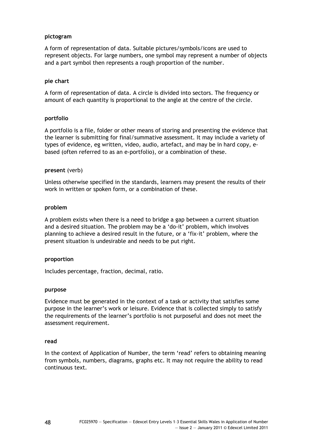### **pictogram**

A form of representation of data. Suitable pictures/symbols/icons are used to represent objects. For large numbers, one symbol may represent a number of objects and a part symbol then represents a rough proportion of the number.

### **pie chart**

A form of representation of data. A circle is divided into sectors. The frequency or amount of each quantity is proportional to the angle at the centre of the circle.

### **portfolio**

A portfolio is a file, folder or other means of storing and presenting the evidence that the learner is submitting for final/summative assessment. It may include a variety of types of evidence, eg written, video, audio, artefact, and may be in hard copy, ebased (often referred to as an e-portfolio), or a combination of these.

### **present** (verb)

Unless otherwise specified in the standards, learners may present the results of their work in written or spoken form, or a combination of these.

### **problem**

A problem exists when there is a need to bridge a gap between a current situation and a desired situation. The problem may be a 'do-it' problem, which involves planning to achieve a desired result in the future, or a 'fix-it' problem, where the present situation is undesirable and needs to be put right.

#### **proportion**

Includes percentage, fraction, decimal, ratio.

#### **purpose**

Evidence must be generated in the context of a task or activity that satisfies some purpose in the learner's work or leisure. Evidence that is collected simply to satisfy the requirements of the learner's portfolio is not purposeful and does not meet the assessment requirement.

#### **read**

In the context of Application of Number, the term 'read' refers to obtaining meaning from symbols, numbers, diagrams, graphs etc. It may not require the ability to read continuous text.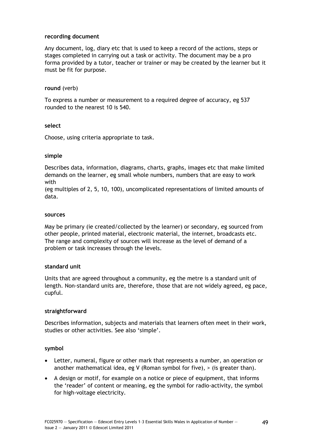# **recording document**

Any document, log, diary etc that is used to keep a record of the actions, steps or stages completed in carrying out a task or activity. The document may be a pro forma provided by a tutor, teacher or trainer or may be created by the learner but it must be fit for purpose.

# **round** (verb)

To express a number or measurement to a required degree of accuracy, eg 537 rounded to the nearest 10 is 540.

# **select**

Choose, using criteria appropriate to task.

# **simple**

Describes data, information, diagrams, charts, graphs, images etc that make limited demands on the learner, eg small whole numbers, numbers that are easy to work with

(eg multiples of 2, 5, 10, 100), uncomplicated representations of limited amounts of data.

### **sources**

May be primary (ie created/collected by the learner) or secondary, eg sourced from other people, printed material, electronic material, the internet, broadcasts etc. The range and complexity of sources will increase as the level of demand of a problem or task increases through the levels.

# **standard unit**

Units that are agreed throughout a community, eg the metre is a standard unit of length. Non-standard units are, therefore, those that are not widely agreed, eg pace, cupful.

# **straightforward**

Describes information, subjects and materials that learners often meet in their work, studies or other activities. See also 'simple'.

# **symbol**

- Letter, numeral, figure or other mark that represents a number, an operation or another mathematical idea, eg V (Roman symbol for five), > (is greater than).
- A design or motif, for example on a notice or piece of equipment, that informs the 'reader' of content or meaning, eg the symbol for radio-activity, the symbol for high-voltage electricity.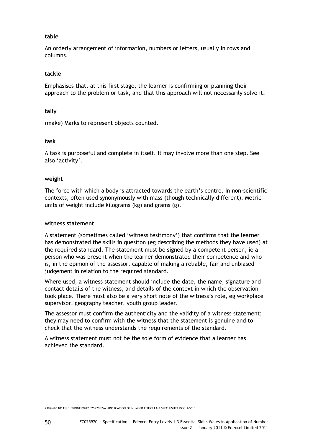## **table**

An orderly arrangement of information, numbers or letters, usually in rows and columns.

#### **tackle**

Emphasises that, at this first stage, the learner is confirming or planning their approach to the problem or task, and that this approach will not necessarily solve it.

### **tally**

(make) Marks to represent objects counted.

### **task**

A task is purposeful and complete in itself. It may involve more than one step. See also 'activity'.

### **weight**

The force with which a body is attracted towards the earth's centre. In non-scientific contexts, often used synonymously with mass (though technically different). Metric units of weight include kilograms (kg) and grams (g).

#### **witness statement**

A statement (sometimes called 'witness testimony') that confirms that the learner has demonstrated the skills in question (eg describing the methods they have used) at the required standard. The statement must be signed by a competent person, ie a person who was present when the learner demonstrated their competence and who is, in the opinion of the assessor, capable of making a reliable, fair and unbiased judgement in relation to the required standard.

Where used, a witness statement should include the date, the name, signature and contact details of the witness, and details of the context in which the observation took place. There must also be a very short note of the witness's role, eg workplace supervisor, geography teacher, youth group leader.

The assessor must confirm the authenticity and the validity of a witness statement; they may need to confirm with the witness that the statement is genuine and to check that the witness understands the requirements of the standard.

A witness statement must not be the sole form of evidence that a learner has achieved the standard.

4382seb110111S:\LT\PD\ESW\FC025970 ESW APPLICATION OF NUMBER ENTRY L1-3 SPEC ISSUE2.DOC.1-55\5